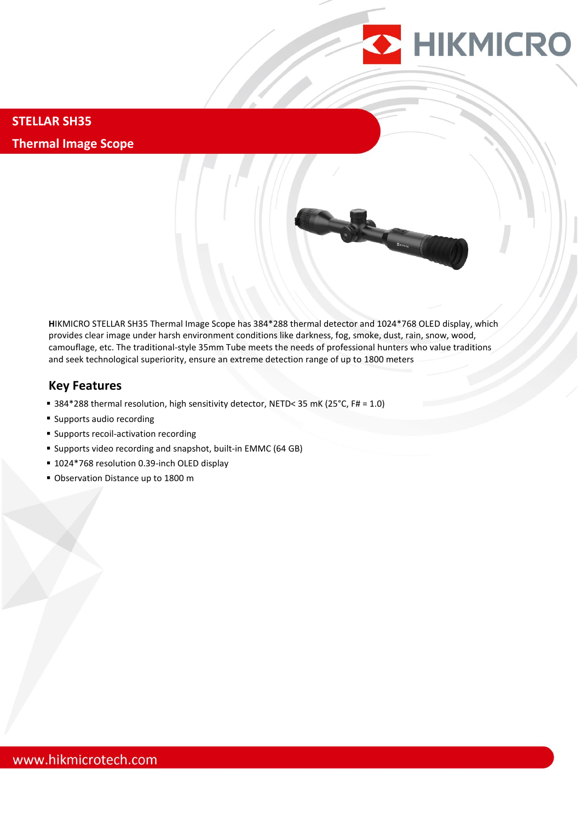

**STELLAR SH35 Thermal Image Scope**

> **H**IKMICRO STELLAR SH35 Thermal Image Scope has 384\*288 thermal detector and 1024\*768 OLED display, which provides clear image under harsh environment conditions like darkness, fog, smoke, dust, rain, snow, wood, camouflage, etc. The traditional-style 35mm Tube meets the needs of professional hunters who value traditions and seek technological superiority, ensure an extreme detection range of up to 1800 meters

## **Key Features**

- 384\*288 thermal resolution, high sensitivity detector, NETD< 35 mK (25°C, F# = 1.0)
- **Supports audio recording**
- **Supports recoil-activation recording**
- Supports video recording and snapshot, built-in EMMC (64 GB)
- 1024\*768 resolution 0.39-inch OLED display
- Observation Distance up to 1800 m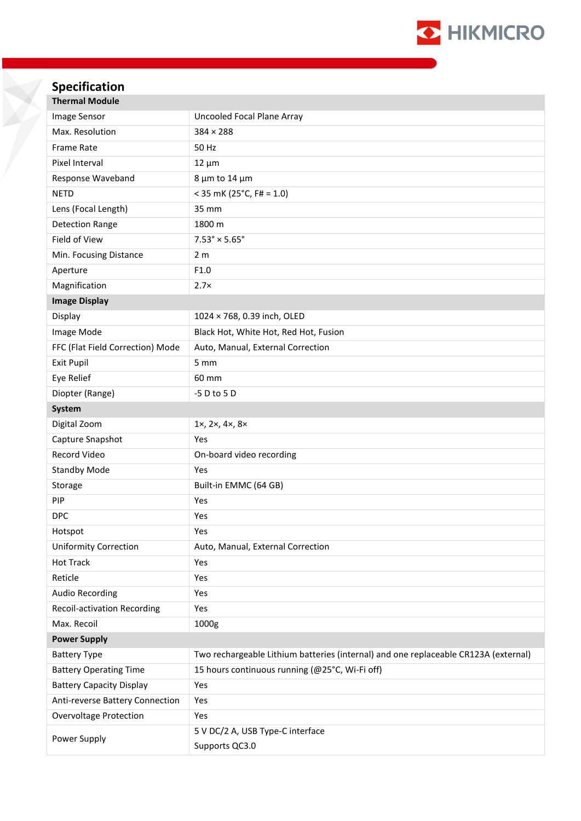

# **Specification**

| <b>Thermal Module</b>              |                                                                                     |
|------------------------------------|-------------------------------------------------------------------------------------|
| Image Sensor                       | Uncooled Focal Plane Array                                                          |
| Max. Resolution                    | $384 \times 288$                                                                    |
| <b>Frame Rate</b>                  | 50 Hz                                                                               |
| Pixel Interval                     | $12 \mu m$                                                                          |
| Response Waveband                  | 8 µm to 14 µm                                                                       |
| <b>NETD</b>                        | $<$ 35 mK (25°C, F# = 1.0)                                                          |
| Lens (Focal Length)                | 35 mm                                                                               |
| <b>Detection Range</b>             | 1800 m                                                                              |
| Field of View                      | $7.53^{\circ} \times 5.65^{\circ}$                                                  |
| Min. Focusing Distance             | 2 <sub>m</sub>                                                                      |
| Aperture                           | F1.0                                                                                |
| Magnification                      | $2.7\times$                                                                         |
| <b>Image Display</b>               |                                                                                     |
| Display                            | 1024 × 768, 0.39 inch, OLED                                                         |
| Image Mode                         | Black Hot, White Hot, Red Hot, Fusion                                               |
| FFC (Flat Field Correction) Mode   | Auto, Manual, External Correction                                                   |
| <b>Exit Pupil</b>                  | 5 mm                                                                                |
| Eye Relief                         | 60 mm                                                                               |
| Diopter (Range)                    | -5 D to 5 D                                                                         |
| System                             |                                                                                     |
| Digital Zoom                       | 1x, 2x, 4x, 8x                                                                      |
| Capture Snapshot                   | Yes                                                                                 |
| Record Video                       | On-board video recording                                                            |
| <b>Standby Mode</b>                | Yes                                                                                 |
| Storage                            | Built-in EMMC (64 GB)                                                               |
| PIP                                | Yes                                                                                 |
| <b>DPC</b>                         | Yes                                                                                 |
| Hotspot                            | Yes                                                                                 |
| <b>Uniformity Correction</b>       | Auto, Manual, External Correction                                                   |
| <b>Hot Track</b>                   | Yes                                                                                 |
| Reticle                            | Yes                                                                                 |
| <b>Audio Recording</b>             | Yes                                                                                 |
| <b>Recoil-activation Recording</b> | Yes                                                                                 |
| Max. Recoil                        | 1000g                                                                               |
| <b>Power Supply</b>                |                                                                                     |
| <b>Battery Type</b>                | Two rechargeable Lithium batteries (internal) and one replaceable CR123A (external) |
| <b>Battery Operating Time</b>      | 15 hours continuous running (@25°C, Wi-Fi off)                                      |
| <b>Battery Capacity Display</b>    | Yes                                                                                 |
| Anti-reverse Battery Connection    | Yes                                                                                 |
| Overvoltage Protection             | Yes                                                                                 |
| Power Supply                       | 5 V DC/2 A, USB Type-C interface<br>Supports QC3.0                                  |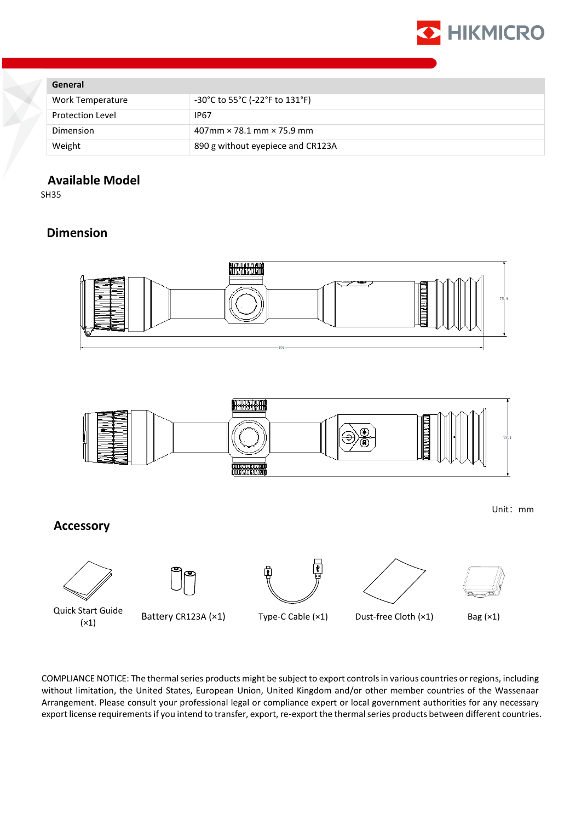

#### **General**

| Work Temperature        | $-30^{\circ}$ C to 55 $^{\circ}$ C (-22 $^{\circ}$ F to 131 $^{\circ}$ F) |
|-------------------------|---------------------------------------------------------------------------|
| <b>Protection Level</b> | <b>IP67</b>                                                               |
| Dimension               | $407$ mm $\times$ 78.1 mm $\times$ 75.9 mm                                |
| Weight                  | 890 g without eyepiece and CR123A                                         |
|                         |                                                                           |

# **Available Model**

SH35

## **Dimension**





**Accessory**



Quick Start Guide (×1) Battery CR123A (×1) Type-C Cable (×1) Dust-free Cloth (×1) Bag (×1)

⊕

Ŧ





Unit:mm

COMPLIANCE NOTICE: The thermal series products might be subject to export controls in various countries or regions, including without limitation, the United States, European Union, United Kingdom and/or other member countries of the Wassenaar Arrangement. Please consult your professional legal or compliance expert or local government authorities for any necessary export license requirements if you intend to transfer, export, re-export the thermal series products between different countries.